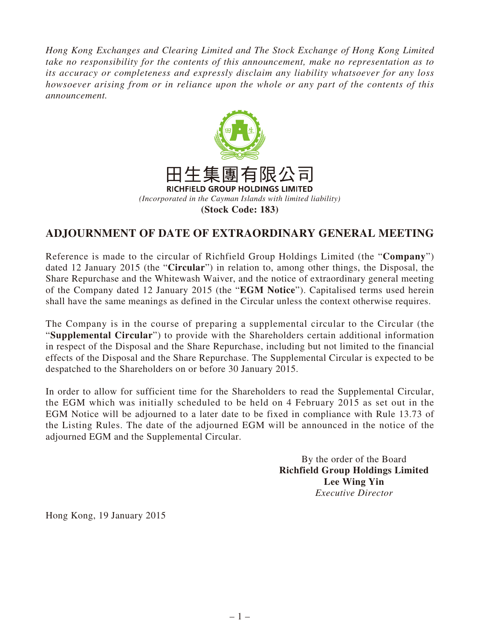*Hong Kong Exchanges and Clearing Limited and The Stock Exchange of Hong Kong Limited take no responsibility for the contents of this announcement, make no representation as to its accuracy or completeness and expressly disclaim any liability whatsoever for any loss howsoever arising from or in reliance upon the whole or any part of the contents of this announcement.*



## **ADJOURNMENT OF DATE OF EXTRAORDINARY GENERAL MEETING**

Reference is made to the circular of Richfield Group Holdings Limited (the "**Company**") dated 12 January 2015 (the "**Circular**") in relation to, among other things, the Disposal, the Share Repurchase and the Whitewash Waiver, and the notice of extraordinary general meeting of the Company dated 12 January 2015 (the "**EGM Notice**"). Capitalised terms used herein shall have the same meanings as defined in the Circular unless the context otherwise requires.

The Company is in the course of preparing a supplemental circular to the Circular (the "**Supplemental Circular**") to provide with the Shareholders certain additional information in respect of the Disposal and the Share Repurchase, including but not limited to the financial effects of the Disposal and the Share Repurchase. The Supplemental Circular is expected to be despatched to the Shareholders on or before 30 January 2015.

In order to allow for sufficient time for the Shareholders to read the Supplemental Circular, the EGM which was initially scheduled to be held on 4 February 2015 as set out in the EGM Notice will be adjourned to a later date to be fixed in compliance with Rule 13.73 of the Listing Rules. The date of the adjourned EGM will be announced in the notice of the adjourned EGM and the Supplemental Circular.

> By the order of the Board **Richfield Group Holdings Limited Lee Wing Yin** *Executive Director*

Hong Kong, 19 January 2015